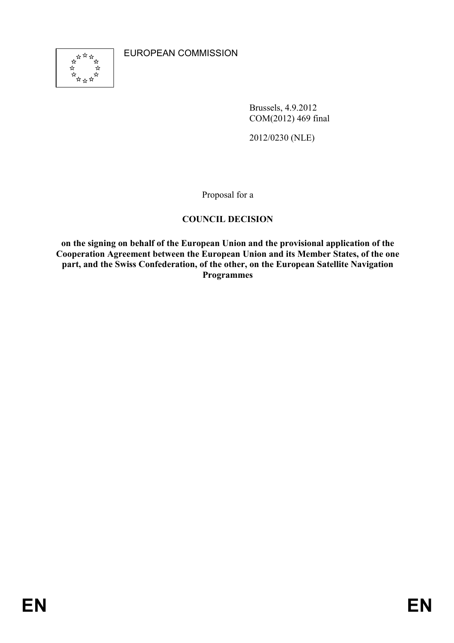

EUROPEAN COMMISSION

Brussels, 4.9.2012 COM(2012) 469 final

2012/0230 (NLE)

Proposal for a

# **COUNCIL DECISION**

**on the signing on behalf of the European Union and the provisional application of the Cooperation Agreement between the European Union and its Member States, of the one**  part, and the Swiss Confederation, of the other, on the European Satellite Navigation **Programmes**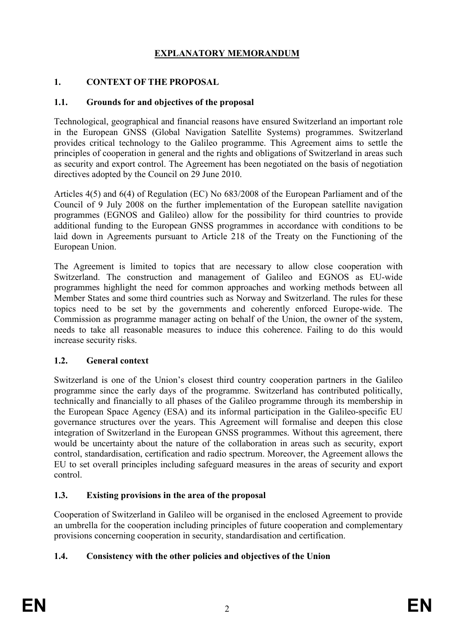# **EXPLAATORY MEMORADUM**

# **1. COTEXT OF THE PROPOSAL**

# **1.1. Grounds for and objectives of the proposal**

Technological, geographical and financial reasons have ensured Switzerland an important role in the European GNSS (Global Navigation Satellite Systems) programmes. Switzerland provides critical technology to the Galileo programme. This Agreement aims to settle the principles of cooperation in general and the rights and obligations of Switzerland in areas such as security and export control. The Agreement has been negotiated on the basis of negotiation directives adopted by the Council on 29 June 2010.

Articles 4(5) and 6(4) of Regulation (EC) No 683/2008 of the European Parliament and of the Council of 9 July 2008 on the further implementation of the European satellite navigation programmes (EGNOS and Galileo) allow for the possibility for third countries to provide additional funding to the European GNSS programmes in accordance with conditions to be laid down in Agreements pursuant to Article 218 of the Treaty on the Functioning of the European Union.

The Agreement is limited to topics that are necessary to allow close cooperation with Switzerland. The construction and management of Galileo and EGNOS as EU-wide programmes highlight the need for common approaches and working methods between all Member States and some third countries such as Norway and Switzerland. The rules for these topics need to be set by the governments and coherently enforced Europe-wide. The Commission as programme manager acting on behalf of the Union, the owner of the system, needs to take all reasonable measures to induce this coherence. Failing to do this would increase security risks.

## **1.2. General context**

Switzerland is one of the Union's closest third country cooperation partners in the Galileo programme since the early days of the programme. Switzerland has contributed politically, technically and financially to all phases of the Galileo programme through its membership in the European Space Agency (ESA) and its informal participation in the Galileo-specific EU governance structures over the years. This Agreement will formalise and deepen this close integration of Switzerland in the European GNSS programmes. Without this agreement, there would be uncertainty about the nature of the collaboration in areas such as security, export control, standardisation, certification and radio spectrum. Moreover, the Agreement allows the EU to set overall principles including safeguard measures in the areas of security and export control.

# **1.3. Existing provisions in the area of the proposal**

Cooperation of Switzerland in Galileo will be organised in the enclosed Agreement to provide an umbrella for the cooperation including principles of future cooperation and complementary provisions concerning cooperation in security, standardisation and certification.

# **1.4. Consistency with the other policies and objectives of the Union**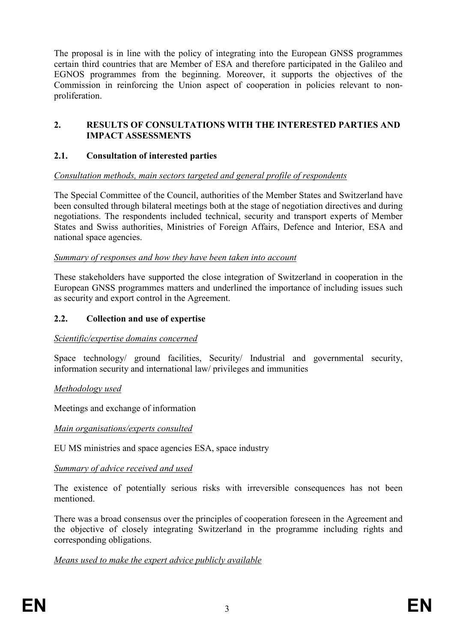The proposal is in line with the policy of integrating into the European GNSS programmes certain third countries that are Member of ESA and therefore participated in the Galileo and EGNOS programmes from the beginning. Moreover, it supports the objectives of the Commission in reinforcing the Union aspect of cooperation in policies relevant to nonproliferation.

#### **2. RESULTS OF COSULTATIOS WITH THE ITERESTED PARTIES AD IMPACT ASSESSMETS**

## **2.1. Consultation of interested parties**

## *Consultation methods, main sectors targeted and general profile of respondents*

The Special Committee of the Council, authorities of the Member States and Switzerland have been consulted through bilateral meetings both at the stage of negotiation directives and during negotiations. The respondents included technical, security and transport experts of Member States and Swiss authorities, Ministries of Foreign Affairs, Defence and Interior, ESA and national space agencies.

#### *Summary of responses and how they have been taken into account*

These stakeholders have supported the close integration of Switzerland in cooperation in the European GNSS programmes matters and underlined the importance of including issues such as security and export control in the Agreement.

## **2.2. Collection and use of expertise**

#### *Scientific/expertise domains concerned*

Space technology/ ground facilities, Security/ Industrial and governmental security, information security and international law/ privileges and immunities

#### *Methodology used*

Meetings and exchange of information

#### *Main organisations/experts consulted*

EU MS ministries and space agencies ESA, space industry

#### *Summary of advice received and used*

The existence of potentially serious risks with irreversible consequences has not been mentioned.

There was a broad consensus over the principles of cooperation foreseen in the Agreement and the objective of closely integrating Switzerland in the programme including rights and corresponding obligations.

## *Means used to make the expert advice publicly available*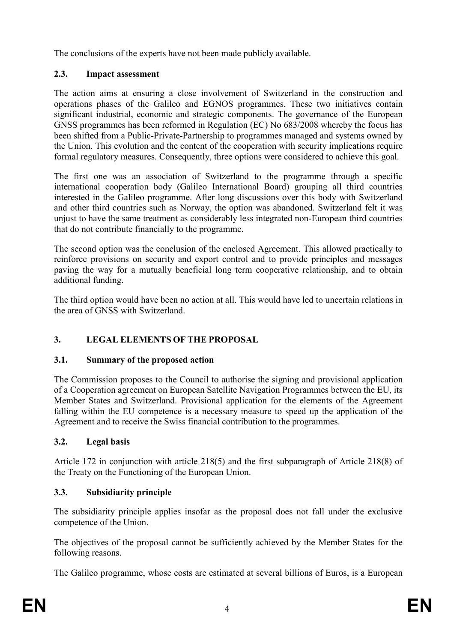The conclusions of the experts have not been made publicly available.

# **2.3. Impact assessment**

The action aims at ensuring a close involvement of Switzerland in the construction and operations phases of the Galileo and EGNOS programmes. These two initiatives contain significant industrial, economic and strategic components. The governance of the European GNSS programmes has been reformed in Regulation (EC) No 683/2008 whereby the focus has been shifted from a Public-Private-Partnership to programmes managed and systems owned by the Union. This evolution and the content of the cooperation with security implications require formal regulatory measures. Consequently, three options were considered to achieve this goal.

The first one was an association of Switzerland to the programme through a specific international cooperation body (Galileo International Board) grouping all third countries interested in the Galileo programme. After long discussions over this body with Switzerland and other third countries such as Norway, the option was abandoned. Switzerland felt it was unjust to have the same treatment as considerably less integrated non-European third countries that do not contribute financially to the programme.

The second option was the conclusion of the enclosed Agreement. This allowed practically to reinforce provisions on security and export control and to provide principles and messages paving the way for a mutually beneficial long term cooperative relationship, and to obtain additional funding.

The third option would have been no action at all. This would have led to uncertain relations in the area of GNSS with Switzerland.

# **3. LEGAL ELEMETS OF THE PROPOSAL**

# **3.1. Summary of the proposed action**

The Commission proposes to the Council to authorise the signing and provisional application of a Cooperation agreement on European Satellite Navigation Programmes between the EU, its Member States and Switzerland. Provisional application for the elements of the Agreement falling within the EU competence is a necessary measure to speed up the application of the Agreement and to receive the Swiss financial contribution to the programmes.

# **3.2. Legal basis**

Article 172 in conjunction with article 218(5) and the first subparagraph of Article 218(8) of the Treaty on the Functioning of the European Union.

# **3.3. Subsidiarity principle**

The subsidiarity principle applies insofar as the proposal does not fall under the exclusive competence of the Union.

The objectives of the proposal cannot be sufficiently achieved by the Member States for the following reasons.

The Galileo programme, whose costs are estimated at several billions of Euros, is a European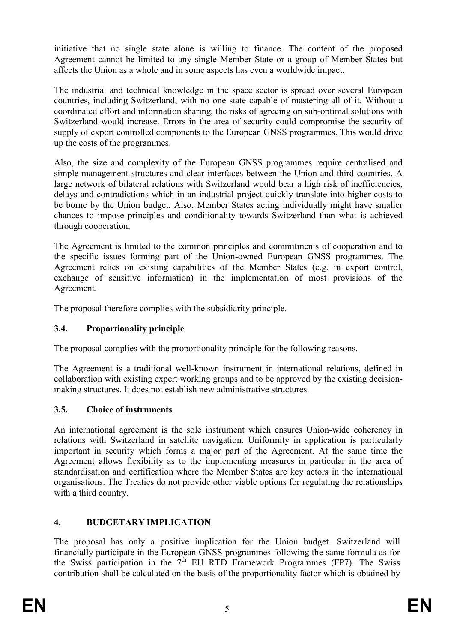initiative that no single state alone is willing to finance. The content of the proposed Agreement cannot be limited to any single Member State or a group of Member States but affects the Union as a whole and in some aspects has even a worldwide impact.

The industrial and technical knowledge in the space sector is spread over several European countries, including Switzerland, with no one state capable of mastering all of it. Without a coordinated effort and information sharing, the risks of agreeing on sub-optimal solutions with Switzerland would increase. Errors in the area of security could compromise the security of supply of export controlled components to the European GNSS programmes. This would drive up the costs of the programmes.

Also, the size and complexity of the European GNSS programmes require centralised and simple management structures and clear interfaces between the Union and third countries. A large network of bilateral relations with Switzerland would bear a high risk of inefficiencies, delays and contradictions which in an industrial project quickly translate into higher costs to be borne by the Union budget. Also, Member States acting individually might have smaller chances to impose principles and conditionality towards Switzerland than what is achieved through cooperation.

The Agreement is limited to the common principles and commitments of cooperation and to the specific issues forming part of the Union-owned European GNSS programmes. The Agreement relies on existing capabilities of the Member States (e.g. in export control, exchange of sensitive information) in the implementation of most provisions of the Agreement.

The proposal therefore complies with the subsidiarity principle.

# **3.4. Proportionality principle**

The proposal complies with the proportionality principle for the following reasons.

The Agreement is a traditional well-known instrument in international relations, defined in collaboration with existing expert working groups and to be approved by the existing decisionmaking structures. It does not establish new administrative structures.

## **3.5. Choice of instruments**

An international agreement is the sole instrument which ensures Union-wide coherency in relations with Switzerland in satellite navigation. Uniformity in application is particularly important in security which forms a major part of the Agreement. At the same time the Agreement allows flexibility as to the implementing measures in particular in the area of standardisation and certification where the Member States are key actors in the international organisations. The Treaties do not provide other viable options for regulating the relationships with a third country.

# **4. BUDGETARY IMPLICATIO**

The proposal has only a positive implication for the Union budget. Switzerland will financially participate in the European GNSS programmes following the same formula as for the Swiss participation in the  $7<sup>th</sup>$  EU RTD Framework Programmes (FP7). The Swiss contribution shall be calculated on the basis of the proportionality factor which is obtained by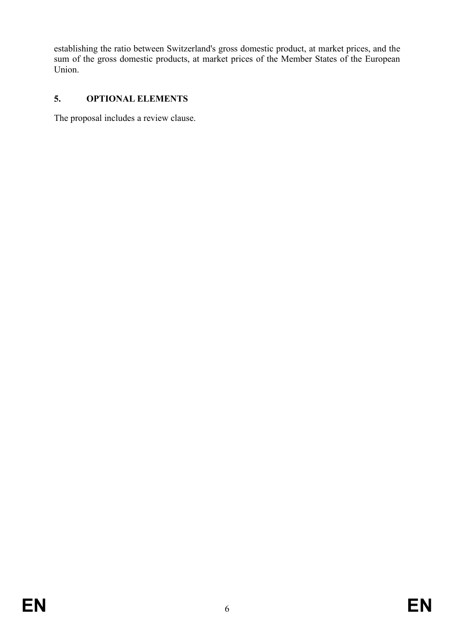establishing the ratio between Switzerland's gross domestic product, at market prices, and the sum of the gross domestic products, at market prices of the Member States of the European Union.

# **5. OPTIOAL ELEMETS**

The proposal includes a review clause.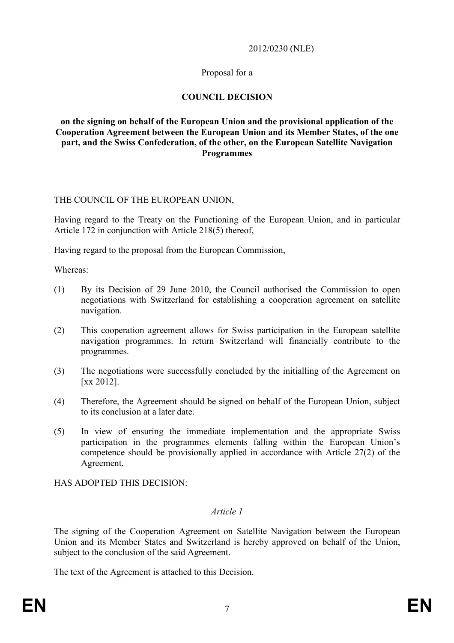#### 2012/0230 (NLE)

#### Proposal for a

# **COUNCIL DECISION**

#### **on the signing on behalf of the European Union and the provisional application of the Cooperation Agreement between the European Union and its Member States, of the one**  part, and the Swiss Confederation, of the other, on the European Satellite Navigation **Programmes**

#### THE COUNCIL OF THE EUROPEAN UNION,

Having regard to the Treaty on the Functioning of the European Union, and in particular Article 172 in conjunction with Article 218(5) thereof,

Having regard to the proposal from the European Commission,

Whereas:

- (1) By its Decision of 29 June 2010, the Council authorised the Commission to open negotiations with Switzerland for establishing a cooperation agreement on satellite navigation.
- (2) This cooperation agreement allows for Swiss participation in the European satellite navigation programmes. In return Switzerland will financially contribute to the programmes.
- (3) The negotiations were successfully concluded by the initialling of the Agreement on [xx 2012].
- (4) Therefore, the Agreement should be signed on behalf of the European Union, subject to its conclusion at a later date.
- (5) In view of ensuring the immediate implementation and the appropriate Swiss participation in the programmes elements falling within the European Union's competence should be provisionally applied in accordance with Article 27(2) of the Agreement,

HAS ADOPTED THIS DECISION:

## *Article 1*

The signing of the Cooperation Agreement on Satellite Navigation between the European Union and its Member States and Switzerland is hereby approved on behalf of the Union, subject to the conclusion of the said Agreement.

The text of the Agreement is attached to this Decision.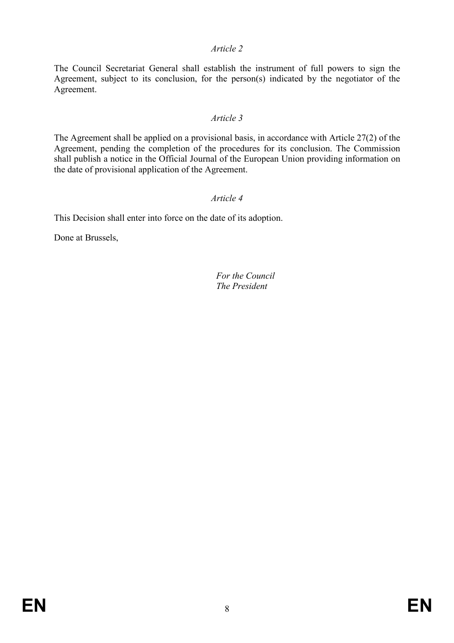#### *Article 2*

The Council Secretariat General shall establish the instrument of full powers to sign the Agreement, subject to its conclusion, for the person(s) indicated by the negotiator of the Agreement.

#### *Article 3*

The Agreement shall be applied on a provisional basis, in accordance with Article 27(2) of the Agreement, pending the completion of the procedures for its conclusion. The Commission shall publish a notice in the Official Journal of the European Union providing information on the date of provisional application of the Agreement.

#### *Article 4*

This Decision shall enter into force on the date of its adoption.

Done at Brussels,

#### *For the Council The President*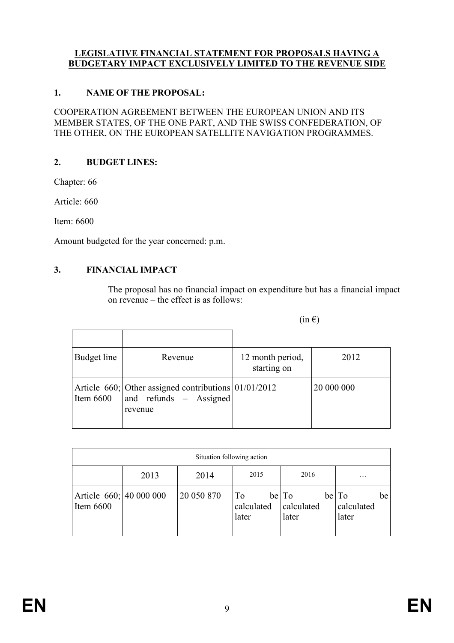#### **LEGISLATIVE FINANCIAL STATEMENT FOR PROPOSALS HAVING A BUDGETARY IMPACT EXCLUSIVELY LIMITED TO THE REVENUE SIDE**

#### **1. AME OF THE PROPOSAL:**

COOPERATION AGREEMENT BETWEEN THE EUROPEAN UNION AND ITS MEMBER STATES, OF THE ONE PART, AND THE SWISS CONFEDERATION, OF THE OTHER, ON THE EUROPEAN SATELLITE NAVIGATION PROGRAMMES.

#### 2. **BUDGET LINES:**

Chapter: 66

Article: 660

Item: 6600

Amount budgeted for the year concerned: p.m.

## **3. FIACIAL IMPACT**

The proposal has no financial impact on expenditure but has a financial impact on revenue – the effect is as follows:

 $(in \in)$ 

| Budget line | Revenue                                                                                         | 12 month period,<br>starting on | 2012       |
|-------------|-------------------------------------------------------------------------------------------------|---------------------------------|------------|
| Item $6600$ | Article $660$ ; Other assigned contributions $ 01/01/2012$<br>and refunds - Assigned<br>revenue |                                 | 20 000 000 |

| Situation following action             |      |            |                                       |                              |                                    |  |  |  |
|----------------------------------------|------|------------|---------------------------------------|------------------------------|------------------------------------|--|--|--|
|                                        | 2013 | 2014       | 2015                                  | 2016                         | .                                  |  |  |  |
| Article 660; 40 000 000<br>Item $6600$ |      | 20 050 870 | T <sub>o</sub><br>calculated<br>later | be To<br>calculated<br>later | be To<br>be<br>calculated<br>later |  |  |  |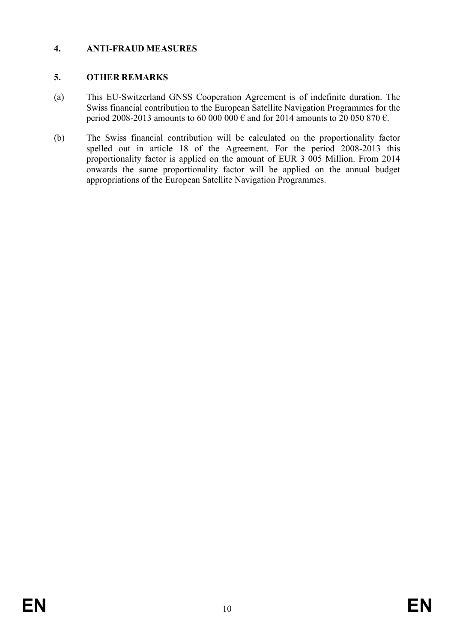# **4. ATI-FRAUD MEASURES**

# **5. OTHER REMARKS**

- (a) This EU-Switzerland GNSS Cooperation Agreement is of indefinite duration. The Swiss financial contribution to the European Satellite Navigation Programmes for the period 2008-2013 amounts to 60 000 000 € and for 2014 amounts to 20 050 870 €.
- (b) The Swiss financial contribution will be calculated on the proportionality factor spelled out in article 18 of the Agreement. For the period 2008-2013 this proportionality factor is applied on the amount of EUR 3 005 Million. From 2014 onwards the same proportionality factor will be applied on the annual budget appropriations of the European Satellite Navigation Programmes.